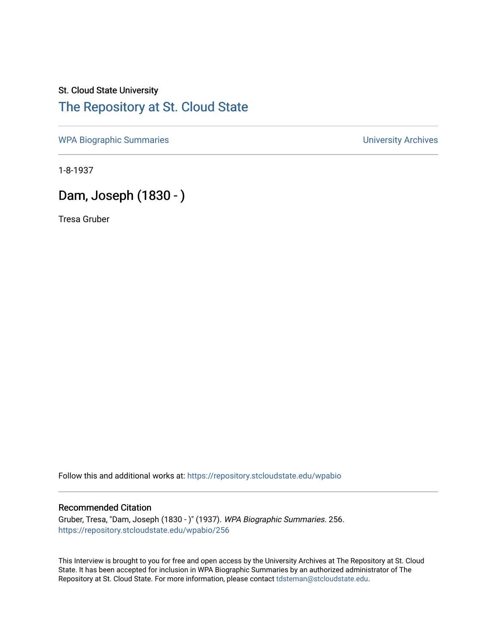# St. Cloud State University [The Repository at St. Cloud State](https://repository.stcloudstate.edu/)

[WPA Biographic Summaries](https://repository.stcloudstate.edu/wpabio) **WPA Biographic Summaries University Archives** 

1-8-1937

# Dam, Joseph (1830 - )

Tresa Gruber

Follow this and additional works at: [https://repository.stcloudstate.edu/wpabio](https://repository.stcloudstate.edu/wpabio?utm_source=repository.stcloudstate.edu%2Fwpabio%2F256&utm_medium=PDF&utm_campaign=PDFCoverPages) 

### Recommended Citation

Gruber, Tresa, "Dam, Joseph (1830 - )" (1937). WPA Biographic Summaries. 256. [https://repository.stcloudstate.edu/wpabio/256](https://repository.stcloudstate.edu/wpabio/256?utm_source=repository.stcloudstate.edu%2Fwpabio%2F256&utm_medium=PDF&utm_campaign=PDFCoverPages) 

This Interview is brought to you for free and open access by the University Archives at The Repository at St. Cloud State. It has been accepted for inclusion in WPA Biographic Summaries by an authorized administrator of The Repository at St. Cloud State. For more information, please contact [tdsteman@stcloudstate.edu.](mailto:tdsteman@stcloudstate.edu)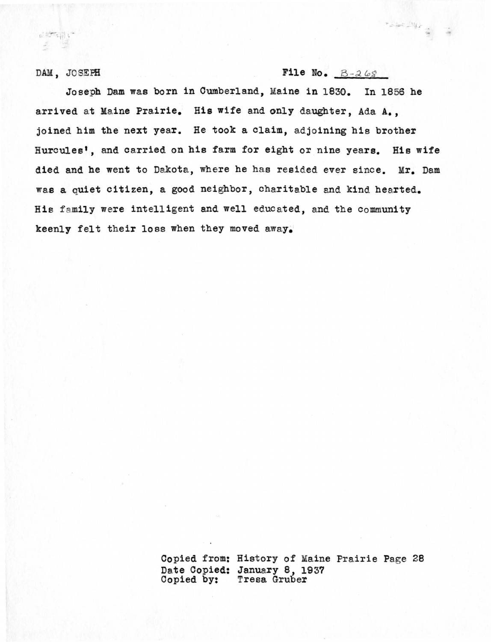#### DAM, JO SEFfl

山地山

### File No.  $B-268$

 $\label{eq:2.1} \sum_{\substack{ \mathbf{x} \in \mathbb{R}^n \\ \mathbf{x} \in \mathbb{R}^n \\ \mathbf{x} \in \mathbb{R}^n}} \mathcal{A}(\mathbf{x}) = \sum_{\substack{ \mathbf{x} \in \mathbb{R}^n \\ \mathbf{x} \in \mathbb{R}^n \\ \mathbf{x} \in \mathbb{R}^n}} \mathbf{x}^\mathbf{x}$ 

Joseph Dam was born in Cumberland, Maine in 1830. In 1856 he arrived at Maine Prairie. His wife and only daughter, Ada A., joined him the next year. He took a claim, adjoining his brother Hurcules', and carried on his farm for eight or nine years. His wife died and he went to Dakota, where he has resided ever since. Mr. Dam was a quiet citizen, a good neighbor, charitable and kind hearted. His family were intelligent and well educated, and the community keenly felt their loss when they moved away.

> Copied from: History of Maine Prairie Page 28 Date Copied: January 8, 1937<br>Copied by: Tresa Gruber Tresa Gruber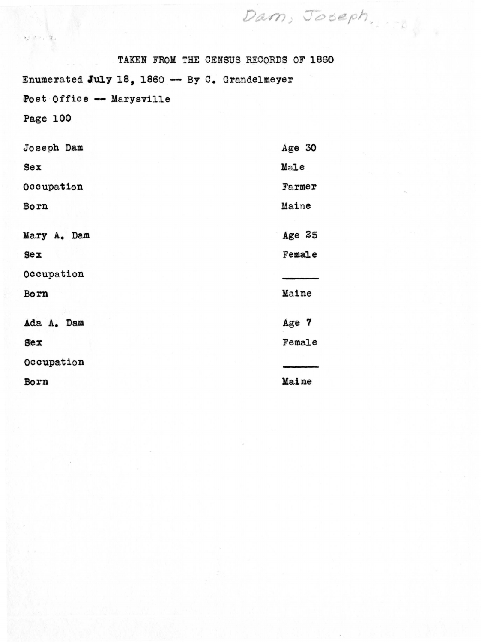|                                                | TAKEN FROM THE CENSUS RECORDS OF 1860 |
|------------------------------------------------|---------------------------------------|
| Enumerated July 18, 1860 -- By C. Grandelmeyer |                                       |
| Post Office -- Marysville                      |                                       |
| Page 100                                       |                                       |
|                                                |                                       |
| Joseph Dam                                     | Age 30                                |
| Sex                                            | Male                                  |
| Occupation                                     | Farmer                                |
| Born                                           | Maine                                 |
|                                                |                                       |
| Mary A. Dam                                    | Age 25                                |
| $sex$                                          | Female                                |
| Occupation                                     |                                       |
| Born                                           | Maine                                 |
|                                                |                                       |
| Ada A. Dam                                     | Age 7                                 |
| Sex                                            | Female                                |
| Occupation                                     |                                       |
| Born                                           | Maine                                 |

 $\mathbf{w}^{\left( \mathbf{v}^{\left( 1\right) } \right) \left( \mathbf{v}^{\left( 1\right) } \right) \left( \mathbf{v}^{\left( 1\right) } \right) }$ 

Dam, Joseph.